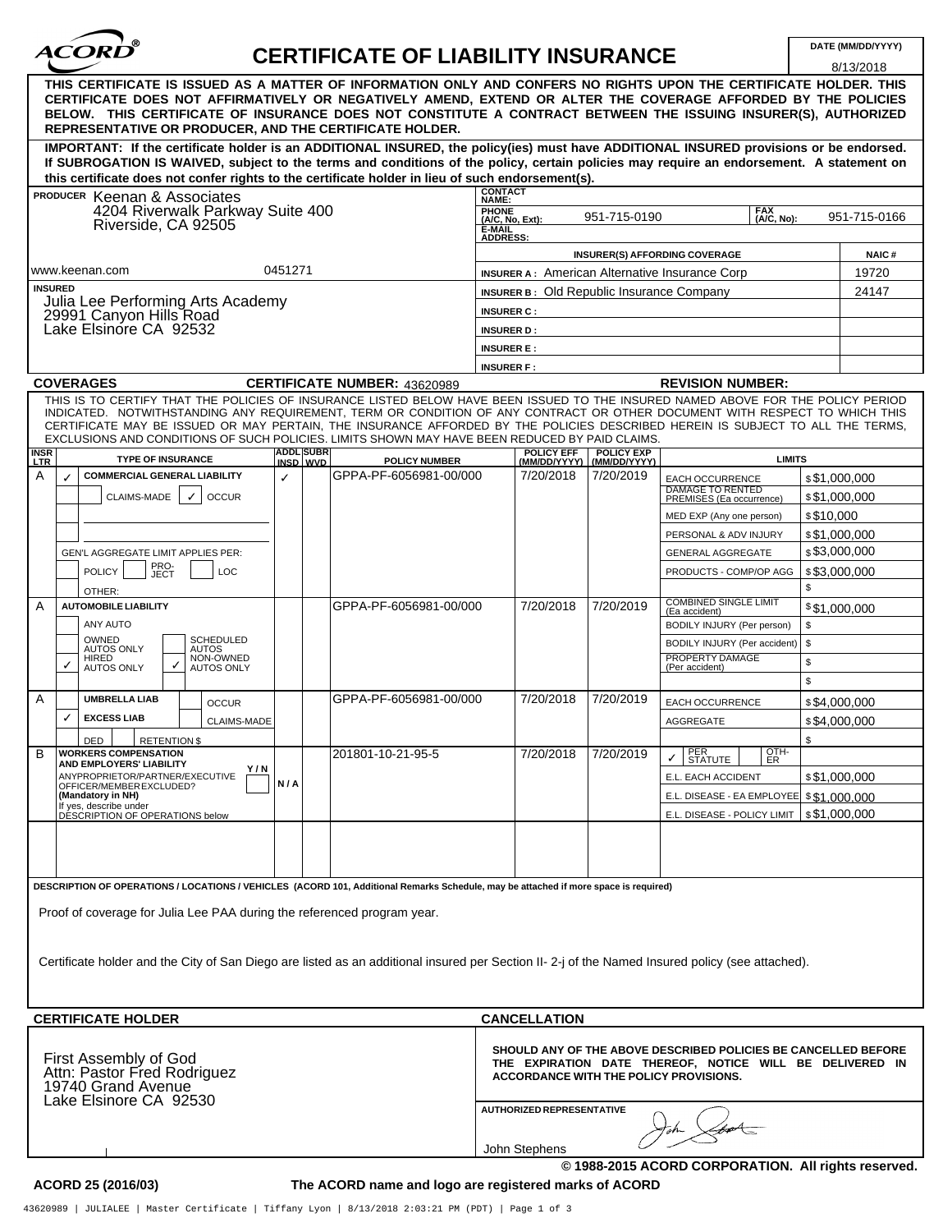| $^{\circ}$<br><b>ACOR</b><br><b>CERTIFICATE OF LIABILITY INSURANCE</b><br>THIS CERTIFICATE IS ISSUED AS A MATTER OF INFORMATION ONLY AND CONFERS NO RIGHTS UPON THE CERTIFICATE HOLDER. THIS<br>CERTIFICATE DOES NOT AFFIRMATIVELY OR NEGATIVELY AMEND, EXTEND OR ALTER THE COVERAGE AFFORDED BY THE POLICIES<br>BELOW. THIS CERTIFICATE OF INSURANCE DOES NOT CONSTITUTE A CONTRACT BETWEEN THE ISSUING INSURER(S), AUTHORIZED<br>REPRESENTATIVE OR PRODUCER. AND THE CERTIFICATE HOLDER.<br>IMPORTANT: If the certificate holder is an ADDITIONAL INSURED, the policy(ies) must have ADDITIONAL INSURED provisions or be endorsed.<br>If SUBROGATION IS WAIVED, subject to the terms and conditions of the policy, certain policies may require an endorsement. A statement on<br>this certificate does not confer rights to the certificate holder in lieu of such endorsement(s). |                                                   | DATE (MM/DD/YYYY)<br>8/13/2018 |  |
|---------------------------------------------------------------------------------------------------------------------------------------------------------------------------------------------------------------------------------------------------------------------------------------------------------------------------------------------------------------------------------------------------------------------------------------------------------------------------------------------------------------------------------------------------------------------------------------------------------------------------------------------------------------------------------------------------------------------------------------------------------------------------------------------------------------------------------------------------------------------------------------|---------------------------------------------------|--------------------------------|--|
|                                                                                                                                                                                                                                                                                                                                                                                                                                                                                                                                                                                                                                                                                                                                                                                                                                                                                       |                                                   |                                |  |
|                                                                                                                                                                                                                                                                                                                                                                                                                                                                                                                                                                                                                                                                                                                                                                                                                                                                                       |                                                   |                                |  |
|                                                                                                                                                                                                                                                                                                                                                                                                                                                                                                                                                                                                                                                                                                                                                                                                                                                                                       |                                                   |                                |  |
|                                                                                                                                                                                                                                                                                                                                                                                                                                                                                                                                                                                                                                                                                                                                                                                                                                                                                       |                                                   |                                |  |
|                                                                                                                                                                                                                                                                                                                                                                                                                                                                                                                                                                                                                                                                                                                                                                                                                                                                                       |                                                   |                                |  |
|                                                                                                                                                                                                                                                                                                                                                                                                                                                                                                                                                                                                                                                                                                                                                                                                                                                                                       |                                                   |                                |  |
|                                                                                                                                                                                                                                                                                                                                                                                                                                                                                                                                                                                                                                                                                                                                                                                                                                                                                       |                                                   |                                |  |
|                                                                                                                                                                                                                                                                                                                                                                                                                                                                                                                                                                                                                                                                                                                                                                                                                                                                                       |                                                   |                                |  |
|                                                                                                                                                                                                                                                                                                                                                                                                                                                                                                                                                                                                                                                                                                                                                                                                                                                                                       |                                                   |                                |  |
| <b>CONTACT</b><br><b>PRODUCER Keenan &amp; Associates</b><br>NAME:                                                                                                                                                                                                                                                                                                                                                                                                                                                                                                                                                                                                                                                                                                                                                                                                                    |                                                   |                                |  |
| 4204 Riverwalk Parkway Suite 400<br><b>PHONE</b><br>951-715-0190                                                                                                                                                                                                                                                                                                                                                                                                                                                                                                                                                                                                                                                                                                                                                                                                                      | <b>FAX</b><br>951-715-0166                        |                                |  |
| Riverside, CA 92505<br><b>E-MAIL<br/>ADDRESS:</b>                                                                                                                                                                                                                                                                                                                                                                                                                                                                                                                                                                                                                                                                                                                                                                                                                                     | $(A/C, No, Ext)$ :<br>(A/C, No):                  |                                |  |
|                                                                                                                                                                                                                                                                                                                                                                                                                                                                                                                                                                                                                                                                                                                                                                                                                                                                                       |                                                   |                                |  |
| <b>INSURER(S) AFFORDING COVERAGE</b>                                                                                                                                                                                                                                                                                                                                                                                                                                                                                                                                                                                                                                                                                                                                                                                                                                                  | <b>NAIC#</b>                                      |                                |  |
| 0451271<br>www.keenan.com<br><b>INSURER A: American Alternative Insurance Corp</b>                                                                                                                                                                                                                                                                                                                                                                                                                                                                                                                                                                                                                                                                                                                                                                                                    | 19720                                             |                                |  |
| <b>INSURED</b><br><b>INSURER B: Old Republic Insurance Company</b>                                                                                                                                                                                                                                                                                                                                                                                                                                                                                                                                                                                                                                                                                                                                                                                                                    | 24147                                             |                                |  |
| Julia Lee Performing Arts Academy                                                                                                                                                                                                                                                                                                                                                                                                                                                                                                                                                                                                                                                                                                                                                                                                                                                     |                                                   |                                |  |
| <b>INSURER C:</b><br>29991 Canyon Hills Road                                                                                                                                                                                                                                                                                                                                                                                                                                                                                                                                                                                                                                                                                                                                                                                                                                          |                                                   |                                |  |
| Lake Elsinore CA 92532<br><b>INSURER D:</b>                                                                                                                                                                                                                                                                                                                                                                                                                                                                                                                                                                                                                                                                                                                                                                                                                                           |                                                   |                                |  |
| <b>INSURER E:</b>                                                                                                                                                                                                                                                                                                                                                                                                                                                                                                                                                                                                                                                                                                                                                                                                                                                                     |                                                   |                                |  |
| <b>INSURER F:</b>                                                                                                                                                                                                                                                                                                                                                                                                                                                                                                                                                                                                                                                                                                                                                                                                                                                                     |                                                   |                                |  |
| <b>COVERAGES</b><br><b>REVISION NUMBER:</b><br><b>CERTIFICATE NUMBER: 43620989</b>                                                                                                                                                                                                                                                                                                                                                                                                                                                                                                                                                                                                                                                                                                                                                                                                    |                                                   |                                |  |
| THIS IS TO CERTIFY THAT THE POLICIES OF INSURANCE LISTED BELOW HAVE BEEN ISSUED TO THE INSURED NAMED ABOVE FOR THE POLICY PERIOD                                                                                                                                                                                                                                                                                                                                                                                                                                                                                                                                                                                                                                                                                                                                                      |                                                   |                                |  |
| INDICATED. NOTWITHSTANDING ANY REQUIREMENT, TERM OR CONDITION OF ANY CONTRACT OR OTHER DOCUMENT WITH RESPECT TO WHICH THIS                                                                                                                                                                                                                                                                                                                                                                                                                                                                                                                                                                                                                                                                                                                                                            |                                                   |                                |  |
| CERTIFICATE MAY BE ISSUED OR MAY PERTAIN, THE INSURANCE AFFORDED BY THE POLICIES DESCRIBED HEREIN IS SUBJECT TO ALL THE TERMS,                                                                                                                                                                                                                                                                                                                                                                                                                                                                                                                                                                                                                                                                                                                                                        |                                                   |                                |  |
| EXCLUSIONS AND CONDITIONS OF SUCH POLICIES. LIMITS SHOWN MAY HAVE BEEN REDUCED BY PAID CLAIMS.                                                                                                                                                                                                                                                                                                                                                                                                                                                                                                                                                                                                                                                                                                                                                                                        |                                                   |                                |  |
| <b>ADDL</b> SUBR<br><b>POLICY EFF</b><br><b>POLICY EXP</b><br><b>INSR</b><br>LTR<br><b>TYPE OF INSURANCE</b><br><b>POLICY NUMBER</b><br>(MM/DD/YYYY)   (MM/DD/YYYY)<br>INSD WVD                                                                                                                                                                                                                                                                                                                                                                                                                                                                                                                                                                                                                                                                                                       | <b>LIMITS</b>                                     |                                |  |
| GPPA-PF-6056981-00/000<br>Α<br>7/20/2018<br>7/20/2019<br><b>COMMERCIAL GENERAL LIABILITY</b><br>✓<br>EACH OCCURRENCE                                                                                                                                                                                                                                                                                                                                                                                                                                                                                                                                                                                                                                                                                                                                                                  |                                                   | \$\$1,000,000                  |  |
| <b>DAMAGE TO RENTED</b>                                                                                                                                                                                                                                                                                                                                                                                                                                                                                                                                                                                                                                                                                                                                                                                                                                                               |                                                   |                                |  |
| CLAIMS-MADE<br><b>OCCUR</b><br>✓<br>PREMISES (Ea occurrence)                                                                                                                                                                                                                                                                                                                                                                                                                                                                                                                                                                                                                                                                                                                                                                                                                          |                                                   | \$\$1,000,000                  |  |
| MED EXP (Any one person)                                                                                                                                                                                                                                                                                                                                                                                                                                                                                                                                                                                                                                                                                                                                                                                                                                                              | \$\$10,000                                        |                                |  |
| PERSONAL & ADV INJURY                                                                                                                                                                                                                                                                                                                                                                                                                                                                                                                                                                                                                                                                                                                                                                                                                                                                 |                                                   | \$\$1,000,000                  |  |
| <b>GENERAL AGGREGATE</b><br>GEN'L AGGREGATE LIMIT APPLIES PER:                                                                                                                                                                                                                                                                                                                                                                                                                                                                                                                                                                                                                                                                                                                                                                                                                        |                                                   | \$3,000,000                    |  |
| PRO-                                                                                                                                                                                                                                                                                                                                                                                                                                                                                                                                                                                                                                                                                                                                                                                                                                                                                  |                                                   |                                |  |
| <b>POLICY</b><br>PRODUCTS - COMP/OP AGG<br>LOC<br><b>JECT</b>                                                                                                                                                                                                                                                                                                                                                                                                                                                                                                                                                                                                                                                                                                                                                                                                                         |                                                   | \$\$3,000,000                  |  |
| OTHER:                                                                                                                                                                                                                                                                                                                                                                                                                                                                                                                                                                                                                                                                                                                                                                                                                                                                                | \$                                                |                                |  |
| COMBINED SINGLE LIMIT<br>(Ea accident)<br>A<br>GPPA-PF-6056981-00/000<br>7/20/2018<br>7/20/2019<br><b>AUTOMOBILE LIABILITY</b>                                                                                                                                                                                                                                                                                                                                                                                                                                                                                                                                                                                                                                                                                                                                                        |                                                   | \$\$1,000,000                  |  |
| ANY AUTO<br>BODILY INJURY (Per person)                                                                                                                                                                                                                                                                                                                                                                                                                                                                                                                                                                                                                                                                                                                                                                                                                                                | \$                                                |                                |  |
| OWNED<br><b>SCHEDULED</b><br>BODILY INJURY (Per accident)                                                                                                                                                                                                                                                                                                                                                                                                                                                                                                                                                                                                                                                                                                                                                                                                                             | \$                                                |                                |  |
| AUTOS ONLY<br><b>AUTOS</b><br>NON-OWNED<br>PROPERTY DAMAGE<br>HIRED                                                                                                                                                                                                                                                                                                                                                                                                                                                                                                                                                                                                                                                                                                                                                                                                                   |                                                   |                                |  |
| ✓<br><b>AUTOS ONLY</b><br>(Per accident)<br><b>AUTOS ONLY</b>                                                                                                                                                                                                                                                                                                                                                                                                                                                                                                                                                                                                                                                                                                                                                                                                                         | \$                                                |                                |  |
|                                                                                                                                                                                                                                                                                                                                                                                                                                                                                                                                                                                                                                                                                                                                                                                                                                                                                       | \$                                                |                                |  |
| Α<br>GPPA-PF-6056981-00/000<br>7/20/2018<br>7/20/2019<br><b>UMBRELLA LIAB</b><br><b>EACH OCCURRENCE</b><br><b>OCCUR</b>                                                                                                                                                                                                                                                                                                                                                                                                                                                                                                                                                                                                                                                                                                                                                               |                                                   | \$\$4,000,000                  |  |
| ✓<br><b>EXCESS LIAB</b><br>CLAIMS-MADE<br><b>AGGREGATE</b>                                                                                                                                                                                                                                                                                                                                                                                                                                                                                                                                                                                                                                                                                                                                                                                                                            |                                                   | \$\$4,000,000                  |  |
|                                                                                                                                                                                                                                                                                                                                                                                                                                                                                                                                                                                                                                                                                                                                                                                                                                                                                       |                                                   |                                |  |
| DED<br><b>RETENTION \$</b>                                                                                                                                                                                                                                                                                                                                                                                                                                                                                                                                                                                                                                                                                                                                                                                                                                                            | \$                                                |                                |  |
| 201801-10-21-95-5<br>7/20/2018<br>7/20/2019<br>PER<br>STATUTE<br>В<br><b>WORKERS COMPENSATION</b><br>✓∣<br>AND EMPLOYERS' LIABILITY                                                                                                                                                                                                                                                                                                                                                                                                                                                                                                                                                                                                                                                                                                                                                   | $rac{QTH}{ER}$                                    |                                |  |
| Y/N<br>ANYPROPRIETOR/PARTNER/EXECUTIVE<br>E.L. EACH ACCIDENT<br>N/A                                                                                                                                                                                                                                                                                                                                                                                                                                                                                                                                                                                                                                                                                                                                                                                                                   |                                                   | \$\$1,000,000                  |  |
| OFFICER/MEMBER EXCLUDED?<br>(Mandatory in NH)                                                                                                                                                                                                                                                                                                                                                                                                                                                                                                                                                                                                                                                                                                                                                                                                                                         | E.L. DISEASE - EA EMPLOYEE \$\$1,000,000          |                                |  |
| If yes, describe under<br>DESCRIPTION OF OPERATIONS below                                                                                                                                                                                                                                                                                                                                                                                                                                                                                                                                                                                                                                                                                                                                                                                                                             |                                                   |                                |  |
|                                                                                                                                                                                                                                                                                                                                                                                                                                                                                                                                                                                                                                                                                                                                                                                                                                                                                       | E.L. DISEASE - POLICY LIMIT $\mid$ \$ \$1,000,000 |                                |  |
|                                                                                                                                                                                                                                                                                                                                                                                                                                                                                                                                                                                                                                                                                                                                                                                                                                                                                       |                                                   |                                |  |
|                                                                                                                                                                                                                                                                                                                                                                                                                                                                                                                                                                                                                                                                                                                                                                                                                                                                                       |                                                   |                                |  |
|                                                                                                                                                                                                                                                                                                                                                                                                                                                                                                                                                                                                                                                                                                                                                                                                                                                                                       |                                                   |                                |  |
| DESCRIPTION OF OPERATIONS / LOCATIONS / VEHICLES (ACORD 101, Additional Remarks Schedule, may be attached if more space is required)                                                                                                                                                                                                                                                                                                                                                                                                                                                                                                                                                                                                                                                                                                                                                  |                                                   |                                |  |
|                                                                                                                                                                                                                                                                                                                                                                                                                                                                                                                                                                                                                                                                                                                                                                                                                                                                                       |                                                   |                                |  |
| Proof of coverage for Julia Lee PAA during the referenced program year.                                                                                                                                                                                                                                                                                                                                                                                                                                                                                                                                                                                                                                                                                                                                                                                                               |                                                   |                                |  |
|                                                                                                                                                                                                                                                                                                                                                                                                                                                                                                                                                                                                                                                                                                                                                                                                                                                                                       |                                                   |                                |  |
|                                                                                                                                                                                                                                                                                                                                                                                                                                                                                                                                                                                                                                                                                                                                                                                                                                                                                       |                                                   |                                |  |
| Certificate holder and the City of San Diego are listed as an additional insured per Section II-2-j of the Named Insured policy (see attached).                                                                                                                                                                                                                                                                                                                                                                                                                                                                                                                                                                                                                                                                                                                                       |                                                   |                                |  |
|                                                                                                                                                                                                                                                                                                                                                                                                                                                                                                                                                                                                                                                                                                                                                                                                                                                                                       |                                                   |                                |  |
|                                                                                                                                                                                                                                                                                                                                                                                                                                                                                                                                                                                                                                                                                                                                                                                                                                                                                       |                                                   |                                |  |
|                                                                                                                                                                                                                                                                                                                                                                                                                                                                                                                                                                                                                                                                                                                                                                                                                                                                                       |                                                   |                                |  |
|                                                                                                                                                                                                                                                                                                                                                                                                                                                                                                                                                                                                                                                                                                                                                                                                                                                                                       |                                                   |                                |  |
|                                                                                                                                                                                                                                                                                                                                                                                                                                                                                                                                                                                                                                                                                                                                                                                                                                                                                       |                                                   |                                |  |
| <b>CANCELLATION</b>                                                                                                                                                                                                                                                                                                                                                                                                                                                                                                                                                                                                                                                                                                                                                                                                                                                                   |                                                   |                                |  |
| SHOULD ANY OF THE ABOVE DESCRIBED POLICIES BE CANCELLED BEFORE                                                                                                                                                                                                                                                                                                                                                                                                                                                                                                                                                                                                                                                                                                                                                                                                                        |                                                   |                                |  |
| <b>CERTIFICATE HOLDER</b><br>THE EXPIRATION DATE THEREOF, NOTICE WILL BE DELIVERED IN                                                                                                                                                                                                                                                                                                                                                                                                                                                                                                                                                                                                                                                                                                                                                                                                 |                                                   |                                |  |
| ACCORDANCE WITH THE POLICY PROVISIONS.                                                                                                                                                                                                                                                                                                                                                                                                                                                                                                                                                                                                                                                                                                                                                                                                                                                |                                                   |                                |  |
| First Assembly of God<br>Attn: Pastor Fred Rodriguez<br>19740 Grand Avenue                                                                                                                                                                                                                                                                                                                                                                                                                                                                                                                                                                                                                                                                                                                                                                                                            |                                                   |                                |  |
| Lake Elsinore CA 92530<br>AUTHORIZED REPRESENTATIVE                                                                                                                                                                                                                                                                                                                                                                                                                                                                                                                                                                                                                                                                                                                                                                                                                                   |                                                   |                                |  |
|                                                                                                                                                                                                                                                                                                                                                                                                                                                                                                                                                                                                                                                                                                                                                                                                                                                                                       |                                                   |                                |  |
| John Stephens                                                                                                                                                                                                                                                                                                                                                                                                                                                                                                                                                                                                                                                                                                                                                                                                                                                                         |                                                   |                                |  |

**© 1988-2015 ACORD CORPORATION. All rights reserved.**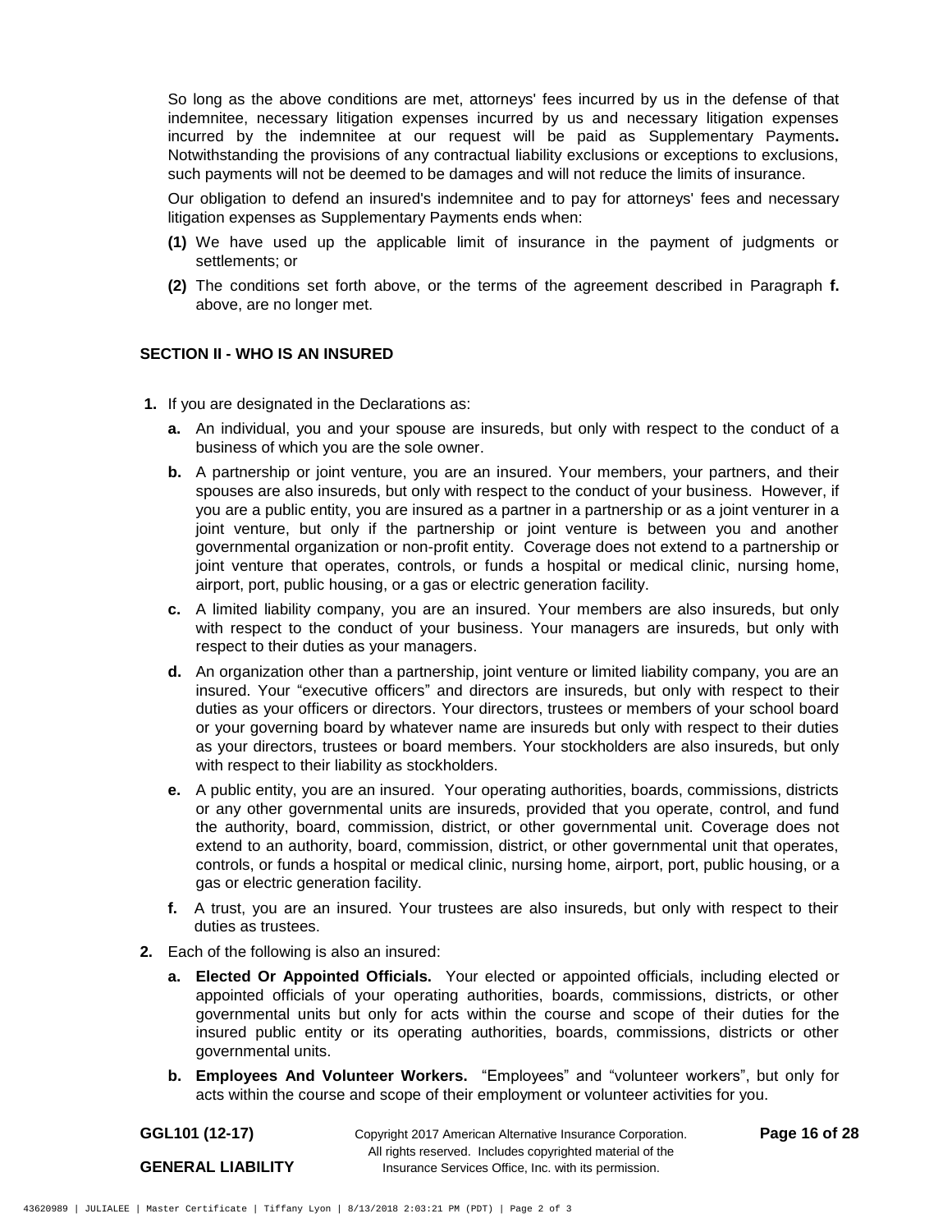So long as the above conditions are met, attorneys' fees incurred by us in the defense of that indemnitee, necessary litigation expenses incurred by us and necessary litigation expenses incurred by the indemnitee at our request will be paid as Supplementary Payments**.** Notwithstanding the provisions of any contractual liability exclusions or exceptions to exclusions, such payments will not be deemed to be damages and will not reduce the limits of insurance.

Our obligation to defend an insured's indemnitee and to pay for attorneys' fees and necessary litigation expenses as Supplementary Payments ends when:

- **(1)** We have used up the applicable limit of insurance in the payment of judgments or settlements; or
- **(2)** The conditions set forth above, or the terms of the agreement described in Paragraph **f.** above, are no longer met.

## **SECTION II - WHO IS AN INSURED**

- **1.** If you are designated in the Declarations as:
	- **a.** An individual, you and your spouse are insureds, but only with respect to the conduct of a business of which you are the sole owner.
	- **b.** A partnership or joint venture, you are an insured. Your members, your partners, and their spouses are also insureds, but only with respect to the conduct of your business. However, if you are a public entity, you are insured as a partner in a partnership or as a joint venturer in a joint venture, but only if the partnership or joint venture is between you and another governmental organization or non-profit entity. Coverage does not extend to a partnership or joint venture that operates, controls, or funds a hospital or medical clinic, nursing home, airport, port, public housing, or a gas or electric generation facility.
	- **c.** A limited liability company, you are an insured. Your members are also insureds, but only with respect to the conduct of your business. Your managers are insureds, but only with respect to their duties as your managers.
	- **d.** An organization other than a partnership, joint venture or limited liability company, you are an insured. Your "executive officers" and directors are insureds, but only with respect to their duties as your officers or directors. Your directors, trustees or members of your school board or your governing board by whatever name are insureds but only with respect to their duties as your directors, trustees or board members. Your stockholders are also insureds, but only with respect to their liability as stockholders.
	- **e.** A public entity, you are an insured. Your operating authorities, boards, commissions, districts or any other governmental units are insureds, provided that you operate, control, and fund the authority, board, commission, district, or other governmental unit. Coverage does not extend to an authority, board, commission, district, or other governmental unit that operates, controls, or funds a hospital or medical clinic, nursing home, airport, port, public housing, or a gas or electric generation facility.
	- **f.** A trust, you are an insured. Your trustees are also insureds, but only with respect to their duties as trustees.
- **2.** Each of the following is also an insured:
	- **a. Elected Or Appointed Officials.** Your elected or appointed officials, including elected or appointed officials of your operating authorities, boards, commissions, districts, or other governmental units but only for acts within the course and scope of their duties for the insured public entity or its operating authorities, boards, commissions, districts or other governmental units.
	- **b. Employees And Volunteer Workers.** "Employees" and "volunteer workers", but only for acts within the course and scope of their employment or volunteer activities for you.

| GGL101 (12-17)           | Copyright 2017 American Alternative Insurance Corporation.                                                        | Page 16 of 28 |
|--------------------------|-------------------------------------------------------------------------------------------------------------------|---------------|
| <b>GENERAL LIABILITY</b> | All rights reserved. Includes copyrighted material of the<br>Insurance Services Office, Inc. with its permission. |               |